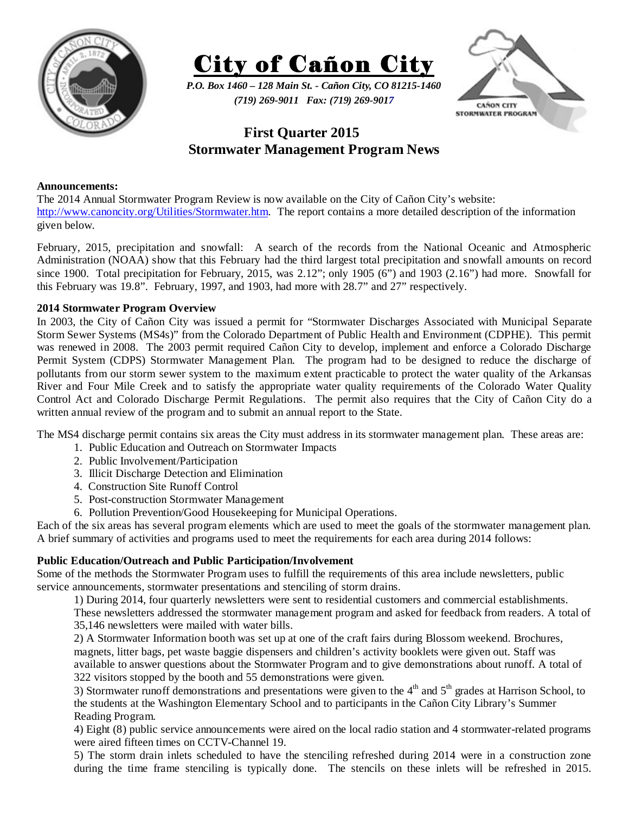



*P.O. Box 1460 – 128 Main St. - Cañon City, CO 81215-1460 (719) 269-9011 Fax: (719) 269-9017* 



# **First Quarter 2015 Stormwater Management Program News**

## **Announcements:**

The 2014 Annual Stormwater Program Review is now available on the City of Cañon City's website: http://www.canoncity.org/Utilities/Stormwater.htm. The report contains a more detailed description of the information given below.

February, 2015, precipitation and snowfall: A search of the records from the National Oceanic and Atmospheric Administration (NOAA) show that this February had the third largest total precipitation and snowfall amounts on record since 1900. Total precipitation for February, 2015, was 2.12"; only 1905 (6") and 1903 (2.16") had more. Snowfall for this February was 19.8". February, 1997, and 1903, had more with 28.7" and 27" respectively.

## **2014 Stormwater Program Overview**

In 2003, the City of Cañon City was issued a permit for "Stormwater Discharges Associated with Municipal Separate Storm Sewer Systems (MS4s)" from the Colorado Department of Public Health and Environment (CDPHE). This permit was renewed in 2008. The 2003 permit required Cañon City to develop, implement and enforce a Colorado Discharge Permit System (CDPS) Stormwater Management Plan. The program had to be designed to reduce the discharge of pollutants from our storm sewer system to the maximum extent practicable to protect the water quality of the Arkansas River and Four Mile Creek and to satisfy the appropriate water quality requirements of the Colorado Water Quality Control Act and Colorado Discharge Permit Regulations. The permit also requires that the City of Cañon City do a written annual review of the program and to submit an annual report to the State.

The MS4 discharge permit contains six areas the City must address in its stormwater management plan. These areas are:

- 1. Public Education and Outreach on Stormwater Impacts
- 2. Public Involvement/Participation
- 3. Illicit Discharge Detection and Elimination
- 4. Construction Site Runoff Control
- 5. Post-construction Stormwater Management
- 6. Pollution Prevention/Good Housekeeping for Municipal Operations.

Each of the six areas has several program elements which are used to meet the goals of the stormwater management plan. A brief summary of activities and programs used to meet the requirements for each area during 2014 follows:

## **Public Education/Outreach and Public Participation/Involvement**

Some of the methods the Stormwater Program uses to fulfill the requirements of this area include newsletters, public service announcements, stormwater presentations and stenciling of storm drains.

1) During 2014, four quarterly newsletters were sent to residential customers and commercial establishments.

These newsletters addressed the stormwater management program and asked for feedback from readers. A total of 35,146 newsletters were mailed with water bills.

2) A Stormwater Information booth was set up at one of the craft fairs during Blossom weekend. Brochures, magnets, litter bags, pet waste baggie dispensers and children's activity booklets were given out. Staff was available to answer questions about the Stormwater Program and to give demonstrations about runoff. A total of 322 visitors stopped by the booth and 55 demonstrations were given.

3) Stormwater runoff demonstrations and presentations were given to the  $4<sup>th</sup>$  and  $5<sup>th</sup>$  grades at Harrison School, to the students at the Washington Elementary School and to participants in the Cañon City Library's Summer Reading Program.

4) Eight (8) public service announcements were aired on the local radio station and 4 stormwater-related programs were aired fifteen times on CCTV-Channel 19.

5) The storm drain inlets scheduled to have the stenciling refreshed during 2014 were in a construction zone during the time frame stenciling is typically done. The stencils on these inlets will be refreshed in 2015.